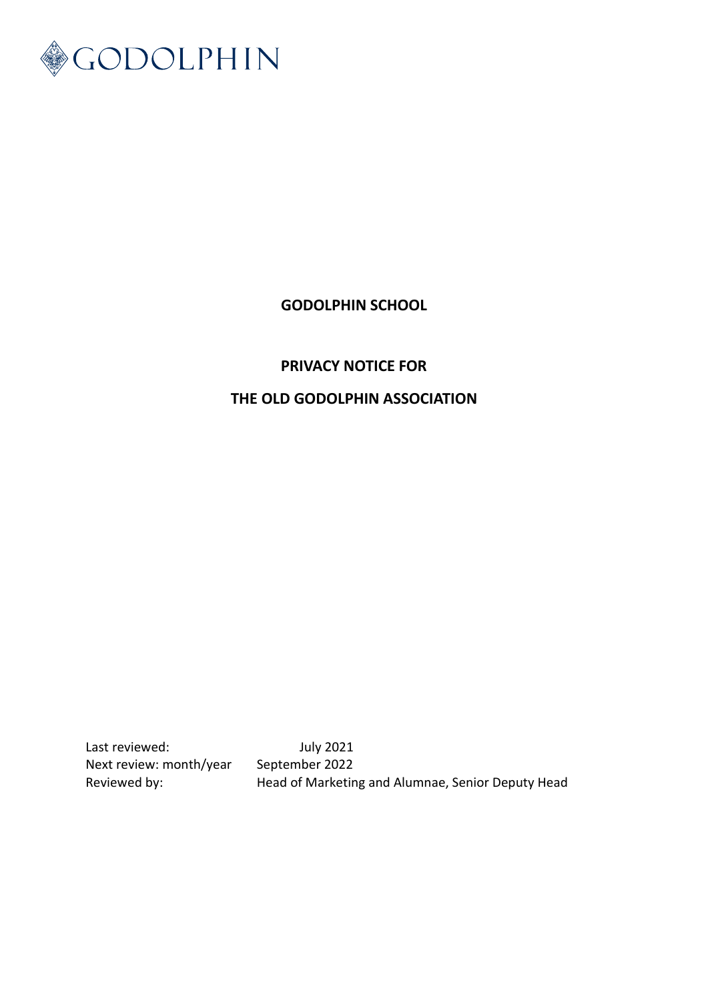

# **GODOLPHIN SCHOOL**

## **PRIVACY NOTICE FOR**

# **THE OLD GODOLPHIN ASSOCIATION**

Last reviewed: July 2021 Next review: month/year September 2022

Reviewed by: Head of Marketing and Alumnae, Senior Deputy Head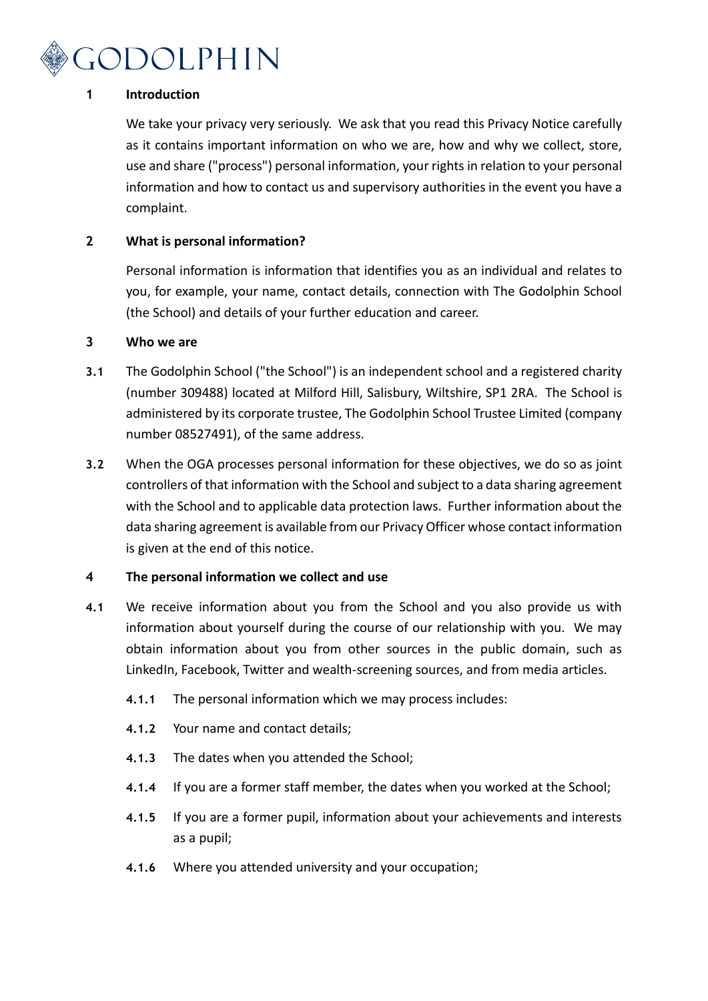

## **1 Introduction**

We take your privacy very seriously. We ask that you read this Privacy Notice carefully as it contains important information on who we are, how and why we collect, store, use and share ("process") personal information, your rights in relation to your personal information and how to contact us and supervisory authorities in the event you have a complaint.

## **2 What is personal information?**

Personal information is information that identifies you as an individual and relates to you, for example, your name, contact details, connection with The Godolphin School (the School) and details of your further education and career.

#### **3 Who we are**

- **3.1** The Godolphin School ("the School") is an independent school and a registered charity (number 309488) located at Milford Hill, Salisbury, Wiltshire, SP1 2RA. The School is administered by its corporate trustee, The Godolphin School Trustee Limited (company number 08527491), of the same address.
- **3.2** When the OGA processes personal information for these objectives, we do so as joint controllers of that information with the School and subject to a data sharing agreement with the School and to applicable data protection laws. Further information about the data sharing agreement is available from our Privacy Officer whose contact information is given at the end of this notice.

#### **4 The personal information we collect and use**

- **4.1** We receive information about you from the School and you also provide us with information about yourself during the course of our relationship with you. We may obtain information about you from other sources in the public domain, such as LinkedIn, Facebook, Twitter and wealth-screening sources, and from media articles.
	- **4.1.1** The personal information which we may process includes:
	- **4.1.2** Your name and contact details;
	- **4.1.3** The dates when you attended the School;
	- **4.1.4** If you are a former staff member, the dates when you worked at the School;
	- **4.1.5** If you are a former pupil, information about your achievements and interests as a pupil;
	- **4.1.6** Where you attended university and your occupation;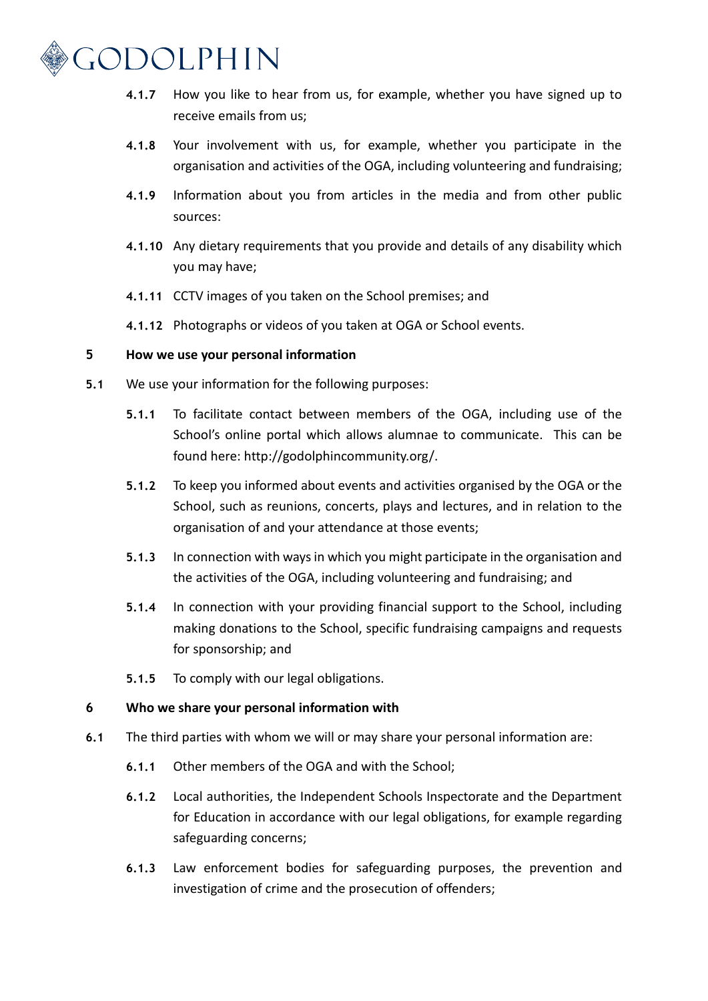

- **4.1.7** How you like to hear from us, for example, whether you have signed up to receive emails from us;
- **4.1.8** Your involvement with us, for example, whether you participate in the organisation and activities of the OGA, including volunteering and fundraising;
- **4.1.9** Information about you from articles in the media and from other public sources:
- **4.1.10** Any dietary requirements that you provide and details of any disability which you may have;
- **4.1.11** CCTV images of you taken on the School premises; and
- **4.1.12** Photographs or videos of you taken at OGA or School events.

#### **5 How we use your personal information**

- **5.1** We use your information for the following purposes:
	- **5.1.1** To facilitate contact between members of the OGA, including use of the School's online portal which allows alumnae to communicate. This can be found here: http://godolphincommunity.org/.
	- **5.1.2** To keep you informed about events and activities organised by the OGA or the School, such as reunions, concerts, plays and lectures, and in relation to the organisation of and your attendance at those events;
	- **5.1.3** In connection with ways in which you might participate in the organisation and the activities of the OGA, including volunteering and fundraising; and
	- **5.1.4** In connection with your providing financial support to the School, including making donations to the School, specific fundraising campaigns and requests for sponsorship; and
	- **5.1.5** To comply with our legal obligations.

#### **6 Who we share your personal information with**

- **6.1** The third parties with whom we will or may share your personal information are:
	- **6.1.1** Other members of the OGA and with the School;
	- **6.1.2** Local authorities, the Independent Schools Inspectorate and the Department for Education in accordance with our legal obligations, for example regarding safeguarding concerns;
	- **6.1.3** Law enforcement bodies for safeguarding purposes, the prevention and investigation of crime and the prosecution of offenders;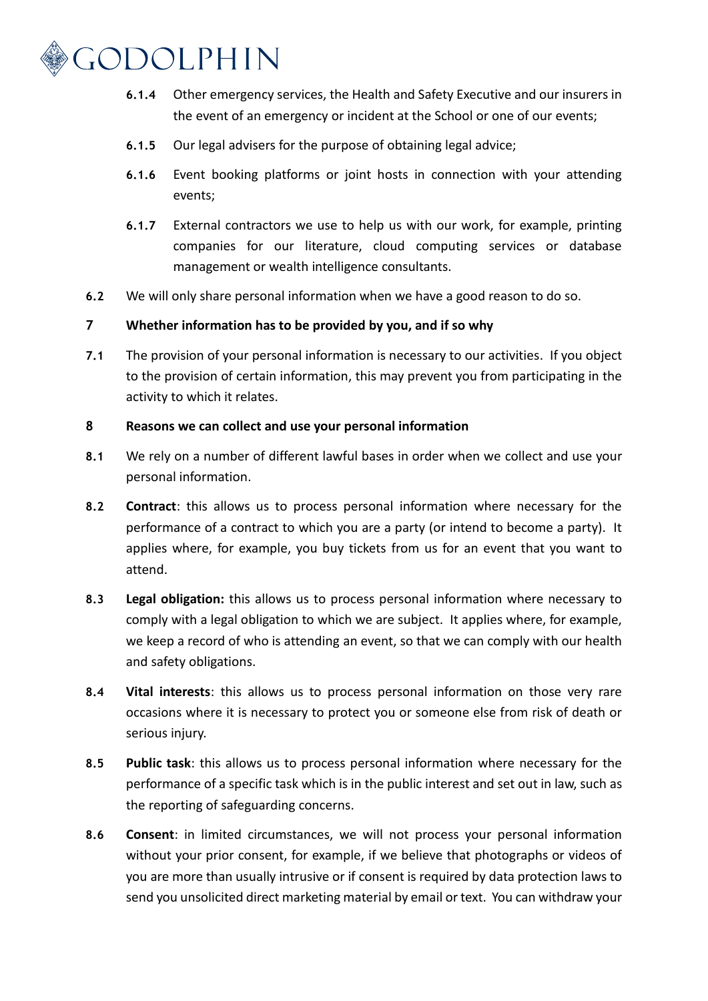

- **6.1.4** Other emergency services, the Health and Safety Executive and our insurers in the event of an emergency or incident at the School or one of our events;
- **6.1.5** Our legal advisers for the purpose of obtaining legal advice;
- **6.1.6** Event booking platforms or joint hosts in connection with your attending events;
- **6.1.7** External contractors we use to help us with our work, for example, printing companies for our literature, cloud computing services or database management or wealth intelligence consultants.
- **6.2** We will only share personal information when we have a good reason to do so.

## **7 Whether information has to be provided by you, and if so why**

**7.1** The provision of your personal information is necessary to our activities. If you object to the provision of certain information, this may prevent you from participating in the activity to which it relates.

#### **8 Reasons we can collect and use your personal information**

- **8.1** We rely on a number of different lawful bases in order when we collect and use your personal information.
- **8.2 Contract**: this allows us to process personal information where necessary for the performance of a contract to which you are a party (or intend to become a party). It applies where, for example, you buy tickets from us for an event that you want to attend.
- **8.3 Legal obligation:** this allows us to process personal information where necessary to comply with a legal obligation to which we are subject. It applies where, for example, we keep a record of who is attending an event, so that we can comply with our health and safety obligations.
- **8.4 Vital interests**: this allows us to process personal information on those very rare occasions where it is necessary to protect you or someone else from risk of death or serious injury.
- **8.5 Public task**: this allows us to process personal information where necessary for the performance of a specific task which is in the public interest and set out in law, such as the reporting of safeguarding concerns.
- **8.6 Consent**: in limited circumstances, we will not process your personal information without your prior consent, for example, if we believe that photographs or videos of you are more than usually intrusive or if consent is required by data protection laws to send you unsolicited direct marketing material by email or text. You can withdraw your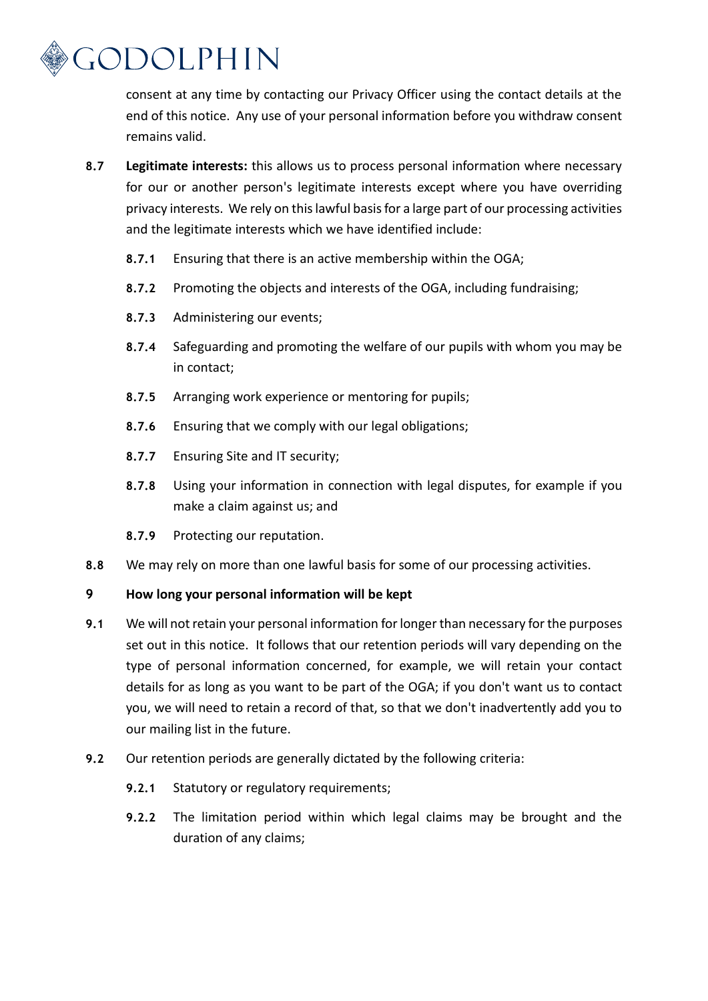

consent at any time by contacting our Privacy Officer using the contact details at the end of this notice. Any use of your personal information before you withdraw consent remains valid.

- **8.7 Legitimate interests:** this allows us to process personal information where necessary for our or another person's legitimate interests except where you have overriding privacy interests. We rely on this lawful basis for a large part of our processing activities and the legitimate interests which we have identified include:
	- **8.7.1** Ensuring that there is an active membership within the OGA;
	- **8.7.2** Promoting the objects and interests of the OGA, including fundraising;
	- **8.7.3** Administering our events;
	- **8.7.4** Safeguarding and promoting the welfare of our pupils with whom you may be in contact;
	- **8.7.5** Arranging work experience or mentoring for pupils;
	- **8.7.6** Ensuring that we comply with our legal obligations;
	- **8.7.7** Ensuring Site and IT security;
	- **8.7.8** Using your information in connection with legal disputes, for example if you make a claim against us; and
	- **8.7.9** Protecting our reputation.
- **8.8** We may rely on more than one lawful basis for some of our processing activities.

#### **9 How long your personal information will be kept**

- **9.1** We will not retain your personal information for longer than necessary for the purposes set out in this notice. It follows that our retention periods will vary depending on the type of personal information concerned, for example, we will retain your contact details for as long as you want to be part of the OGA; if you don't want us to contact you, we will need to retain a record of that, so that we don't inadvertently add you to our mailing list in the future.
- **9.2** Our retention periods are generally dictated by the following criteria:
	- **9.2.1** Statutory or regulatory requirements;
	- **9.2.2** The limitation period within which legal claims may be brought and the duration of any claims;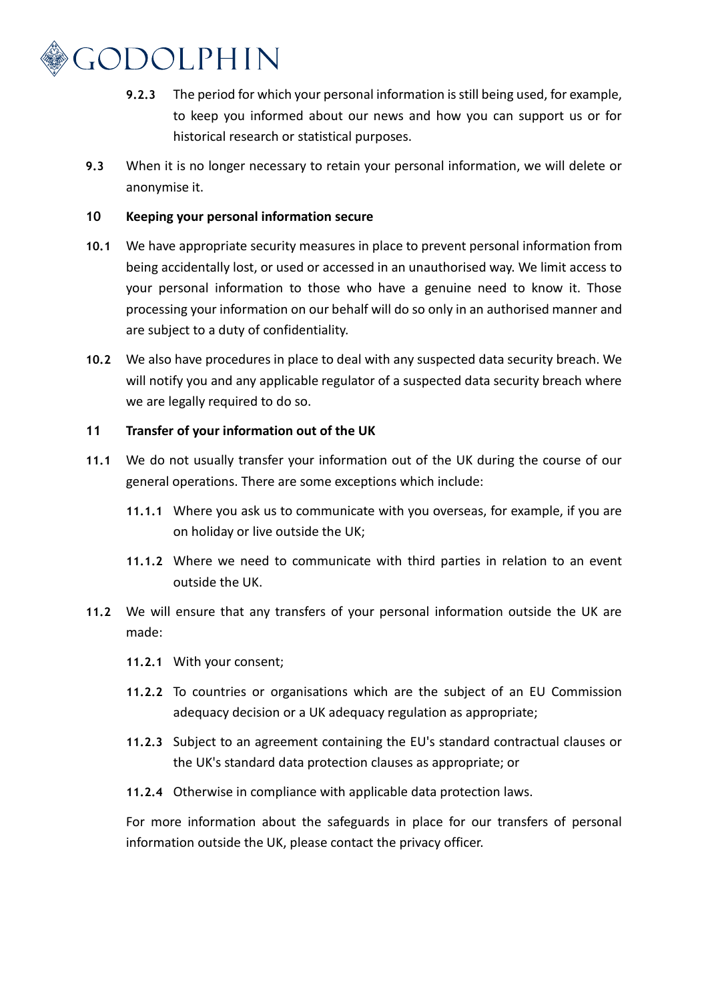

- **9.2.3** The period for which your personal information is still being used, for example, to keep you informed about our news and how you can support us or for historical research or statistical purposes.
- **9.3** When it is no longer necessary to retain your personal information, we will delete or anonymise it.

#### **10 Keeping your personal information secure**

- **10.1** We have appropriate security measures in place to prevent personal information from being accidentally lost, or used or accessed in an unauthorised way. We limit access to your personal information to those who have a genuine need to know it. Those processing your information on our behalf will do so only in an authorised manner and are subject to a duty of confidentiality.
- **10.2** We also have procedures in place to deal with any suspected data security breach. We will notify you and any applicable regulator of a suspected data security breach where we are legally required to do so.

## **11 Transfer of your information out of the UK**

- **11.1** We do not usually transfer your information out of the UK during the course of our general operations. There are some exceptions which include:
	- **11.1.1** Where you ask us to communicate with you overseas, for example, if you are on holiday or live outside the UK;
	- **11.1.2** Where we need to communicate with third parties in relation to an event outside the UK.
- **11.2** We will ensure that any transfers of your personal information outside the UK are made:
	- **11.2.1** With your consent;
	- **11.2.2** To countries or organisations which are the subject of an EU Commission adequacy decision or a UK adequacy regulation as appropriate;
	- **11.2.3** Subject to an agreement containing the EU's standard contractual clauses or the UK's standard data protection clauses as appropriate; or
	- **11.2.4** Otherwise in compliance with applicable data protection laws.

For more information about the safeguards in place for our transfers of personal information outside the UK, please contact the privacy officer.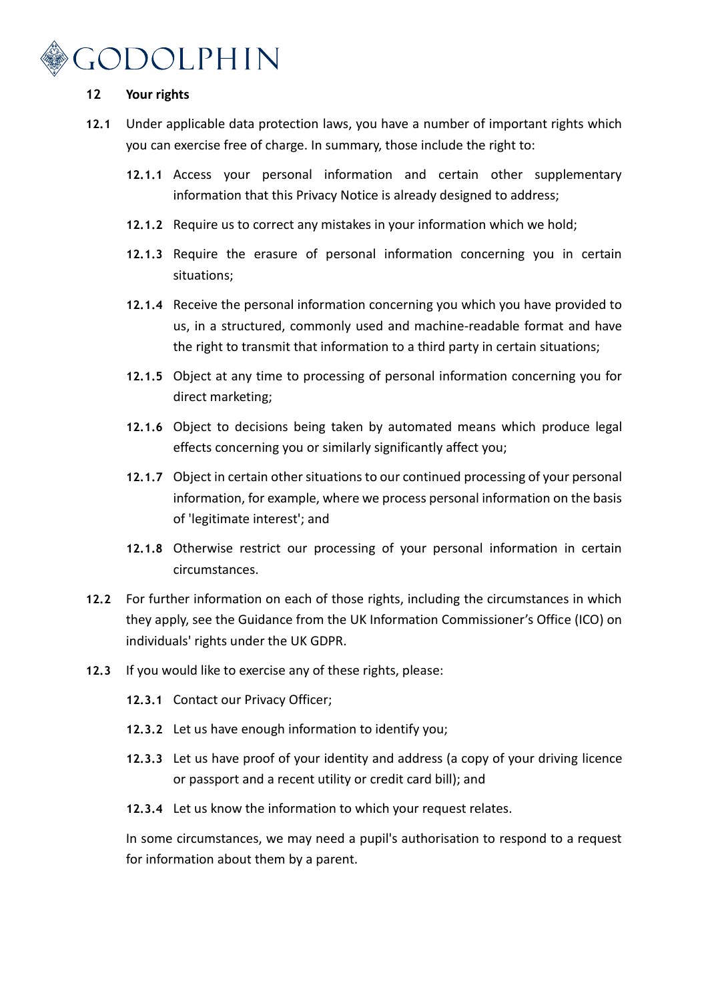# GODOLPHIN

#### **12 Your rights**

- **12.1** Under applicable data protection laws, you have a number of important rights which you can exercise free of charge. In summary, those include the right to:
	- **12.1.1** Access your personal information and certain other supplementary information that this Privacy Notice is already designed to address;
	- **12.1.2** Require us to correct any mistakes in your information which we hold;
	- **12.1.3** Require the erasure of personal information concerning you in certain situations;
	- **12.1.4** Receive the personal information concerning you which you have provided to us, in a structured, commonly used and machine-readable format and have the right to transmit that information to a third party in certain situations;
	- **12.1.5** Object at any time to processing of personal information concerning you for direct marketing;
	- **12.1.6** Object to decisions being taken by automated means which produce legal effects concerning you or similarly significantly affect you;
	- **12.1.7** Object in certain other situations to our continued processing of your personal information, for example, where we process personal information on the basis of 'legitimate interest'; and
	- **12.1.8** Otherwise restrict our processing of your personal information in certain circumstances.
- **12.2** For further information on each of those rights, including the circumstances in which they apply, see the Guidance from the UK Information Commissioner's Office (ICO) on individuals' rights under the UK GDPR.
- **12.3** If you would like to exercise any of these rights, please:
	- **12.3.1** Contact our Privacy Officer;
	- **12.3.2** Let us have enough information to identify you;
	- **12.3.3** Let us have proof of your identity and address (a copy of your driving licence or passport and a recent utility or credit card bill); and
	- **12.3.4** Let us know the information to which your request relates.

In some circumstances, we may need a pupil's authorisation to respond to a request for information about them by a parent.